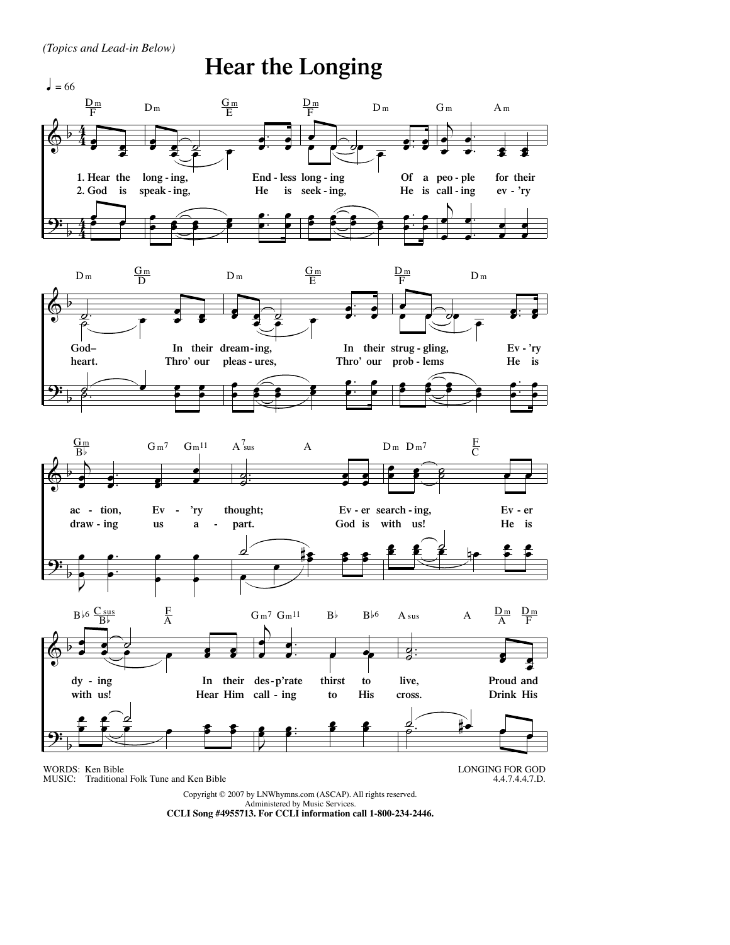*(Topics and Lead-in Below)*



Copyright © 2007 by LNWhymns.com (ASCAP). All rights reserved.

Administered by Music Services. **CCLI Song #4955713. For CCLI information call 1-800-234-2446.**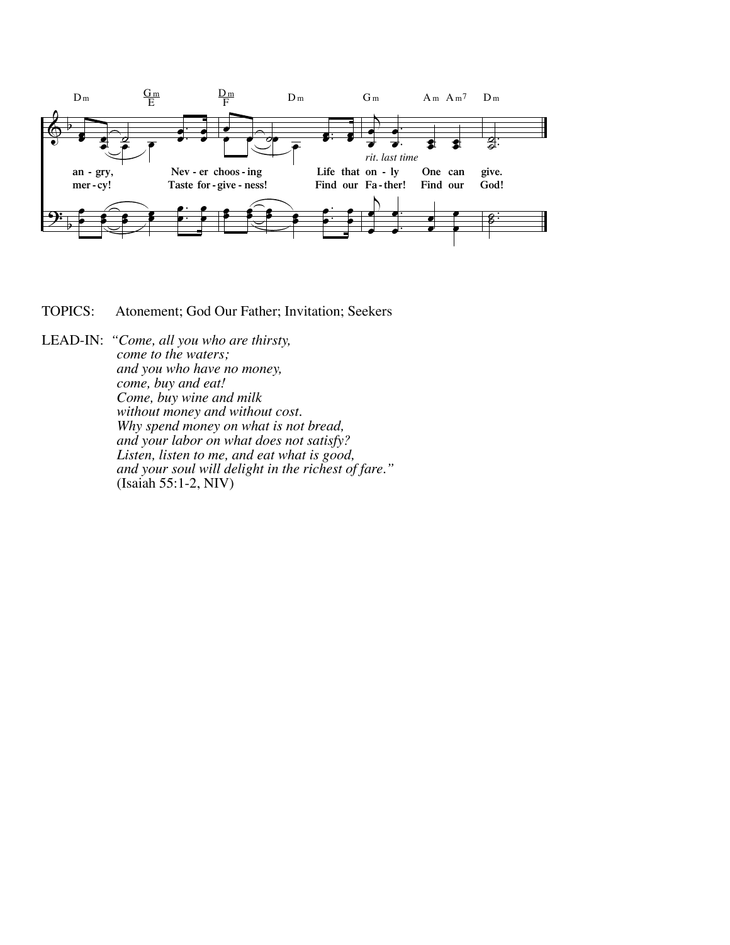

TOPICS: Atonement; God Our Father; Invitation; Seekers

LEAD-IN: "Come, all you who are thirsty,<br>
come to the waters;<br>
and you who have no money,<br>
come, buy and eat!<br>
Come, buy wine and milk<br>
without money and without cost.<br>
Why spend money on what is not bread,<br>
and your labo